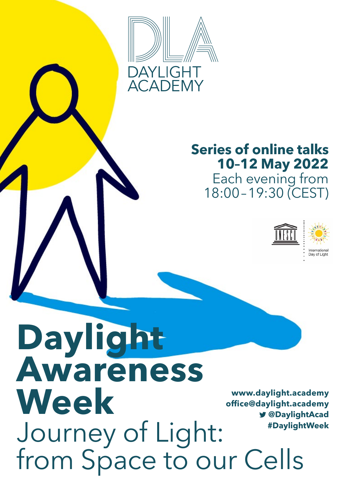

# **Series of online talks 10–12 May 2022**

Each evening from 18:00–19:30 (CEST)



**Daylight Awareness Week** Journey of Light: from Space to our Cells **[www.daylight.academy](https://daylight.academy/) #DaylightWeek [office@daylight.academy](mailto:office%40daylight.academy%20?subject=) @[DaylightAcad](https://twitter.com/daylightacad?lang=de)**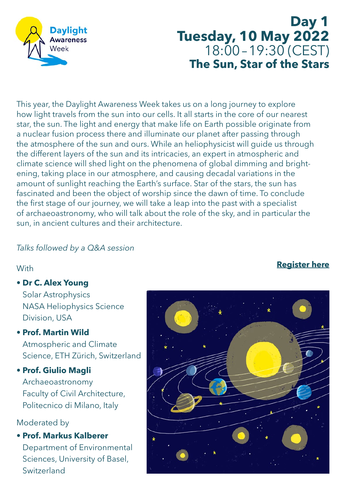

**Day 1 Tuesday, 10 May 2022** 18:00–19:30 (CEST) **The Sun, Star of the Stars**

This year, the Daylight Awareness Week takes us on a long journey to explore how light travels from the sun into our cells. It all starts in the core of our nearest star, the sun. The light and energy that make life on Earth possible originate from a nuclear fusion process there and illuminate our planet after passing through the atmosphere of the sun and ours. While an heliophysicist will guide us through the different layers of the sun and its intricacies, an expert in atmospheric and climate science will shed light on the phenomena of global dimming and brightening, taking place in our atmosphere, and causing decadal variations in the amount of sunlight reaching the Earth's surface. Star of the stars, the sun has fascinated and been the object of worship since the dawn of time. To conclude the first stage of our journey, we will take a leap into the past with a specialist of archaeoastronomy, who will talk about the role of the sky, and in particular the sun, in ancient cultures and their architecture.

#### *Talks followed by a Q&A session*

#### **With**

**• Dr C. Alex Young**

Solar Astrophysics NASA Heliophysics Science Division, USA

#### **• Prof. Martin Wild**

Atmospheric and Climate Science, ETH Zürich, Switzerland

#### **• Prof. Giulio Magli**

Archaeoastronomy Faculty of Civil Architecture, Politecnico di Milano, Italy

#### Moderated by

**• Prof. Markus Kalberer** Department of Environmental Sciences, University of Basel, Switzerland

## **[Register here](https://us02web.zoom.us/webinar/register/4516480444201/WN_6ECVUXJOQo6BXH7RZNBY0w)**

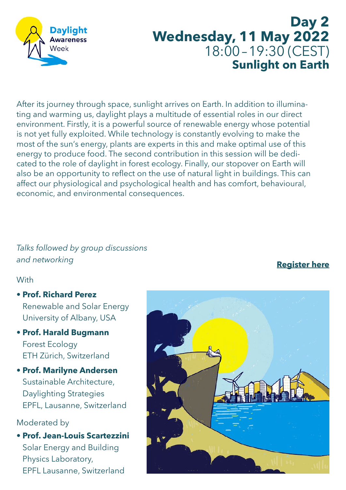

# **Day 2 Wednesday, 11 May 2022** 18:00–19:30 (CEST) **Sunlight on Earth**

After its journey through space, sunlight arrives on Earth. In addition to illuminating and warming us, daylight plays a multitude of essential roles in our direct environment. Firstly, it is a powerful source of renewable energy whose potential is not yet fully exploited. While technology is constantly evolving to make the most of the sun's energy, plants are experts in this and make optimal use of this energy to produce food. The second contribution in this session will be dedicated to the role of daylight in forest ecology. Finally, our stopover on Earth will also be an opportunity to reflect on the use of natural light in buildings. This can affect our physiological and psychological health and has comfort, behavioural, economic, and environmental consequences.

# *Talks followed by group discussions and networking*

#### With

- **Prof. Richard Perez** Renewable and Solar Energy University of Albany, USA
- **Prof. Harald Bugmann** Forest Ecology ETH Zürich, Switzerland
- **Prof. Marilyne Andersen** Sustainable Architecture, Daylighting Strategies EPFL, Lausanne, Switzerland

#### Moderated by

**• Prof. Jean-Louis Scartezzini**  Solar Energy and Building Physics Laboratory, EPFL Lausanne, Switzerland

# **[Register here](https://daylight.academy/registration/)**